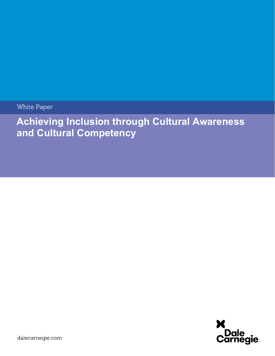White Paper

Achieving Inclusion through Cultural Awareness and Cultural Competency

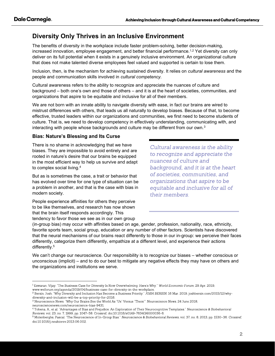# Diversity Only Thrives in an Inclusive Environment

The benefits of diversity in the workplace include faster problem-solving, better decision-making, increased innovation, employee engagement, and better financial performance.<sup>1,2</sup> Yet diversity can only deliver on its full potential when it exists in a genuinely inclusive environment. An organizational culture that does not make talented diverse employees feel valued and supported is certain to lose them.

Inclusion, then, is the mechanism for achieving sustained diversity. It relies on *cultural awareness* and the people and communication skills involved in cultural competency.

Cultural awareness refers to the ability to recognize and appreciate the nuances of culture and background – both one's own and those of others – and it is at the heart of societies, communities, and organizations that aspire to be equitable and inclusive for all of their members.

We are not born with an innate ability to navigate diversity with ease, in fact our brains are wired to mistrust differences with others, that leads us all naturally to develop biases. Because of that, to become effective, trusted leaders within our organizations and communities, we first need to become students of culture. That is, we need to develop competency in effectively understanding, communicating with, and interacting with people whose backgrounds and culture may be different from our own.<sup>3</sup>

## Bias: Nature's Blessing and Its Curse

There is no shame in acknowledging that we have biases. They are impossible to avoid entirely and are rooted in nature's desire that our brains be equipped in the most efficient way to help us survive and adapt to complex social living.<sup>4</sup>

But as is sometimes the case, a trait or behavior that has evolved over time for one type of situation can be a problem in another, and that is the case with bias in modern society.

People experience affinities for others they perceive to be like themselves, and research has now shown that the brain itself responds accordingly. This tendency to favor those we see as in our own group

Cultural awareness is the ability to recognize and appreciate the nuances of culture and background, and it is at the heart of societies, communities, and organizations that aspire to be equitable and inclusive for all of their members.

(in-group bias) may occur with affinities based on age, gender, profession, nationality, race, ethnicity, favorite sports team, social group, education or any number of other factors. Scientists have discovered that the neural mechanisms of our brains react differently to those in our in-group: we perceive their faces differently, categorize them differently, empathize at a different level, and experience their actions differently.<sup>5</sup>

We can't change our neuroscience. Our responsibility is to recognize our biases – whether conscious or unconscious (implicit) – and to do our best to mitigate any negative effects they may have on others and the organizations and institutions we serve.

<sup>&</sup>lt;sup>1</sup> Eswaran, Vijay. "The Business Case for Diversity Is Now Overwhelming. Here's Why." World Economic Forum, 29 Apr. 2019, www.weforum.org/agenda/2019/04/business-case-for-diversity-in-the-workplace.

<sup>&</sup>lt;sup>2</sup> Bersin, Josh. "Why Diversity and Inclusion Has Become a Business Priority." JOSH BERSIN, 16 Mar. 2019, joshbersin.com/2015/12/whydiversity-and-inclusion-will-be-a-top-priority-for-2016.

<sup>&</sup>lt;sup>3</sup> Neuroscience News. "Why Our Brains See the World As "Us" Versus "Them"" Neuroscience News, 24 June 2018, neurosciencenews.com/neuroscience-bias-9431.

<sup>&</sup>lt;sup>4</sup> Tobena, A., et al. "Advantages of Bias and Prejudice: An Exploration of Their Neurocognitive Templates." Neuroscience & Biobehavioral Reviews, vol. 23, no. 7, 1999, pp. 1047-58. Crossref, doi:10.1016/s0149-7634(99)00036-6.

<sup>&</sup>lt;sup>5</sup> Molenberghs, Pascal. "The Neuroscience of In-Group Bias." Neuroscience & Biobehavioral Reviews, vol. 37, no. 8, 2013, pp. 1530–36. Crossref, doi:10.1016/j.neubiorev.2013.06.002.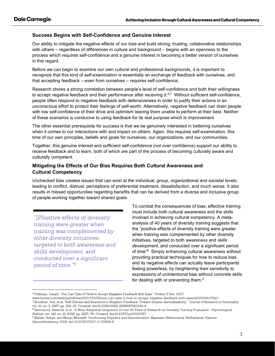#### Success Begins with Self-Confidence and Genuine Interest

Our ability to mitigate the negative effects of our bias and build strong, trusting, collaborative relationships with others – regardless of differences in culture and background – begins with an openness to the process which requires self-confidence and a genuine interest in becoming a better version of ourselves in this regard.

Before we can begin to examine our own cultural and professional backgrounds, it is important to recognize that this kind of self-examination is essentially an exchange of feedback with ourselves, and that accepting feedback – even from ourselves – requires self-confidence.

Research shows a strong correlation between people's level of self-confidence and both their willingness to accept negative feedback and their performance after receiving it.<sup>6,7</sup> Without sufficient self-confidence, people often respond to negative feedback with defensiveness in order to justify their actions in an unconscious effort to protect their feelings of self-worth. Alternatively, negative feedback can drain people with low self-confidence of their drive and optimism leaving them unable to perform at their best. Neither of these scenarios is conducive to using feedback for its real purpose which is improvement.

The other essential prerequisite for success is that we be genuinely interested in bettering ourselves when it comes to our interactions with and impact on others. Again, this requires self-examination, this time of our own principles, beliefs and goals for ourselves, our organizations, and our communities.

Together, this genuine interest and sufficient self-confidence (not over confidence) support our ability to receive feedback and to learn, both of which are part of the process of becoming culturally aware and culturally competent.

#### Mitigating the Effects of Our Bias Requires Both Cultural Awareness and Cultural Competency

Unchecked bias creates issues that can exist at the individual, group, organizational and societal levels, leading to conflict, distrust, perceptions of preferential treatment, dissatisfaction, and much worse. It also results in missed opportunities regarding benefits that can be derived from a diverse and inclusive group of people working together toward shared goals.

"[P]ositive effects of diversity" training were greater when training was complemented by other diversity initiatives. targeted to both awareness and skills development, and conducted over a significant period of time."<sup>6</sup>

To combat the consequences of bias, effective training must include both cultural awareness and the skills involved in achieving cultural competency. A metaanalysis of 40 years of diversity training suggests that the "positive effects of diversity training were greater when training was complemented by other diversity initiatives, targeted to both awareness and skills development, and conducted over a significant period of time"<sup>8</sup> Simply enhancing cultural awareness without providing practical techniques for how to reduce bias and its negative effects can actually leave participants feeling powerless, by heightening their sensitivity to expressions of unintentional bias without concrete skills for dealing with or preventing them.<sup>9</sup>

<sup>&</sup>lt;sup>6</sup> Folkman, Joseph. "You Can Take It! How to Accept Negative Feedback with Ease." Forbes, 5 Dec. 2017,

www.forbes.com/sites/joefolkman/2017/12/05/you-can-take-it-how-to-accept-negative-feedback-with-ease/#500104c723a7.

 $^7$  Brockner, Joel, et al. "Self-Esteem and Reactions to Negative Feedback: Toward Greater Generalizability." Journal of Research in Personality, vol. 21, no. 3, 1987, pp. 318-33. Crossref, doi:10.1016/0092-6566(87)90014-6.

<sup>&</sup>lt;sup>8</sup> Bezrukova, Katerina, et al. "A Meta-Analytical Integration of over 40 Years of Research on Diversity Training Evaluation." Psychological Bulletin, vol. 142, no. 11, 2016, pp. 1227-74. Crossref, doi:10.1037/bul0000067.

<sup>&</sup>lt;sup>9</sup> Mallett, Robyn, and Margo Monteith. Confronting Prejudice and Discrimination. Maarssen-Netherlands, Netherlands, Elsevier Gezondheidszorg, 2019, doi:10.1016/C2017-0-01959-6.